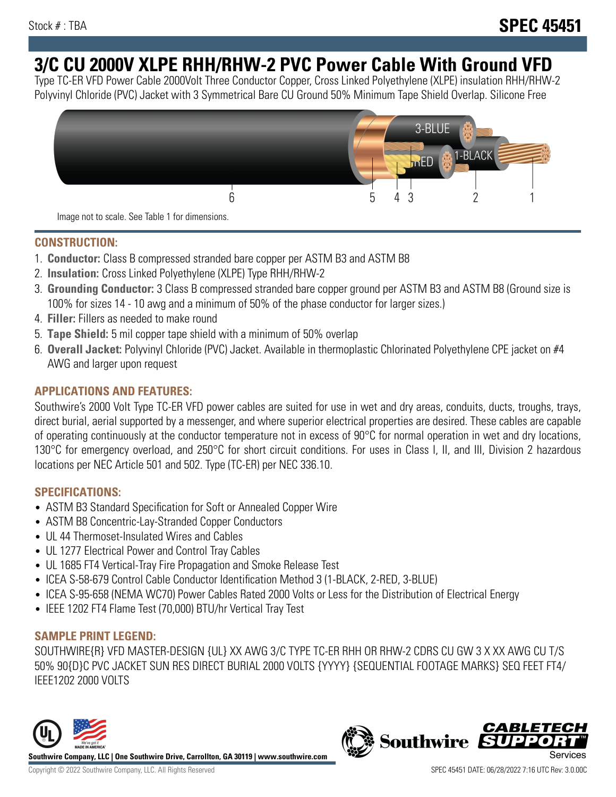# **3/C CU 2000V XLPE RHH/RHW-2 PVC Power Cable With Ground VFD**

Type TC-ER VFD Power Cable 2000Volt Three Conductor Copper, Cross Linked Polyethylene (XLPE) insulation RHH/RHW-2 Polyvinyl Chloride (PVC) Jacket with 3 Symmetrical Bare CU Ground 50% Minimum Tape Shield Overlap. Silicone Free



Image not to scale. See Table 1 for dimensions.

### **CONSTRUCTION:**

- 1. **Conductor:** Class B compressed stranded bare copper per ASTM B3 and ASTM B8
- 2. **Insulation:** Cross Linked Polyethylene (XLPE) Type RHH/RHW-2
- 3. **Grounding Conductor:** 3 Class B compressed stranded bare copper ground per ASTM B3 and ASTM B8 (Ground size is 100% for sizes 14 - 10 awg and a minimum of 50% of the phase conductor for larger sizes.)
- 4. **Filler:** Fillers as needed to make round
- 5. **Tape Shield:** 5 mil copper tape shield with a minimum of 50% overlap
- 6. **Overall Jacket:** Polyvinyl Chloride (PVC) Jacket. Available in thermoplastic Chlorinated Polyethylene CPE jacket on #4 AWG and larger upon request

### **APPLICATIONS AND FEATURES:**

Southwire's 2000 Volt Type TC-ER VFD power cables are suited for use in wet and dry areas, conduits, ducts, troughs, trays, direct burial, aerial supported by a messenger, and where superior electrical properties are desired. These cables are capable of operating continuously at the conductor temperature not in excess of 90°C for normal operation in wet and dry locations, 130°C for emergency overload, and 250°C for short circuit conditions. For uses in Class I, II, and III, Division 2 hazardous locations per NEC Article 501 and 502. Type (TC-ER) per NEC 336.10.

#### **SPECIFICATIONS:**

- ASTM B3 Standard Specification for Soft or Annealed Copper Wire
- ASTM B8 Concentric-Lay-Stranded Copper Conductors
- UL 44 Thermoset-Insulated Wires and Cables
- UL 1277 Electrical Power and Control Tray Cables
- UL 1685 FT4 Vertical-Tray Fire Propagation and Smoke Release Test
- ICEA S-58-679 Control Cable Conductor Identification Method 3 (1-BLACK, 2-RED, 3-BLUE)
- ICEA S-95-658 (NEMA WC70) Power Cables Rated 2000 Volts or Less for the Distribution of Electrical Energy
- IEEE 1202 FT4 Flame Test (70,000) BTU/hr Vertical Tray Test

#### **SAMPLE PRINT LEGEND:**

SOUTHWIRE{R} VFD MASTER-DESIGN {UL} XX AWG 3/C TYPE TC-ER RHH OR RHW-2 CDRS CU GW 3 X XX AWG CU T/S 50% 90{D}C PVC JACKET SUN RES DIRECT BURIAL 2000 VOLTS {YYYY} {SEQUENTIAL FOOTAGE MARKS} SEQ FEET FT4/ IEEE1202 2000 VOLTS